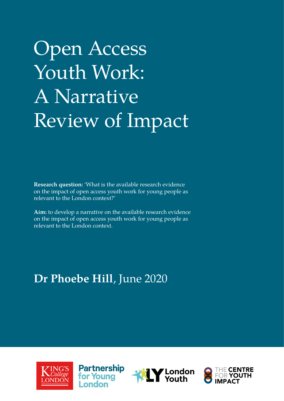## Open Access Youth Work: A Narrative Review of Impact

**Research question:** 'What is the available research evidence on the impact of open access youth work for young people as relevant to the London context?'

**Aim:** to develop a narrative on the available research evidence on the impact of open access youth work for young people as relevant to the London context.

### **Dr Phoebe Hill**, June 2020





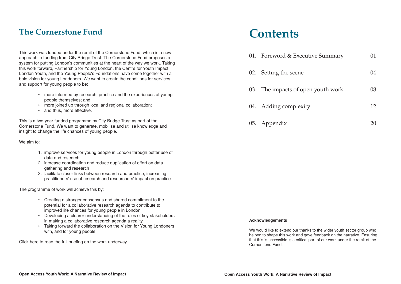## **Contents**

This work was funded under the remit of the Cornerstone Fund, which is a new approach to funding from City Bridge Trust. The Cornerstone Fund proposes a system for putting London's communities at the heart of the way we work. Taking this work forward, Partnership for Young London, the Centre for Youth Impact, London Youth, and the Young People's Foundations have come together with a bold vision for young Londoners. We want to create the conditions for services and support for young people to be:

- more informed by research, practice and the experiences of young people themselves; and
- more joined up through local and regional collaboration;
- and thus, more effective.

This is a two-year funded programme by City Bridge Trust as part of the Cornerstone Fund. We want to generate, mobilise and utilise knowledge and insight to change the life chances of young people.

> We would like to extend our thanks to the wider youth sector group who helped to shape this work and gave feedback on the narrative. Ensuring that this is accessible is a critical part of our work under the remit of the Cornerstone Fund.

| cutive Summary | 01 |
|----------------|----|
|                | 04 |
| pen youth work | 08 |
| ity            | 12 |
|                |    |

We aim to:

- 1. improve services for young people in London through better use of data and research
- 2. increase coordination and reduce duplication of effort on data gathering and research
- 3. facilitate closer links between research and practice, increasing practitioners' use of research and researchers' impact on practice

The programme of work will achieve this by:

- Creating a stronger consensus and shared commitment to the potential for a collaborative research agenda to contribute to improved life chances for young people in London
- Developing a clearer understanding of the roles of key stakeholders in making a collaborative research agenda a reality
- Taking forward the collaboration on the Vision for Young Londoners with, and for young people

Click here to read the full briefing on the work underway.

01. Foreword  $&$  Executive Executive Summary 02. Setting the scene

03. The impacts of  $\sigma$ 

04. Adding complex

05. Appendix

### **The Cornerstone Fund**

#### **Acknowledgements**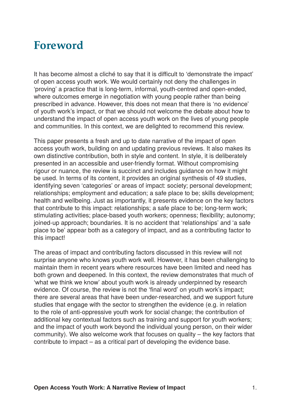### **Foreword**

It has become almost a cliché to say that it is difficult to 'demonstrate the impact' of open access youth work. We would certainly not deny the challenges in 'proving' a practice that is long-term, informal, youth-centred and open-ended, where outcomes emerge in negotiation with young people rather than being prescribed in advance. However, this does not mean that there is 'no evidence' of youth work's impact, or that we should not welcome the debate about how to understand the impact of open access youth work on the lives of young people and communities. In this context, we are delighted to recommend this review.

This paper presents a fresh and up to date narrative of the impact of open access youth work, building on and updating previous reviews. It also makes its own distinctive contribution, both in style and content. In style, it is deliberately presented in an accessible and user-friendly format. Without compromising rigour or nuance, the review is succinct and includes guidance on how it might be used. In terms of its content, it provides an original synthesis of 49 studies, identifying seven 'categories' or areas of impact: society; personal development; relationships; employment and education; a safe place to be; skills development; health and wellbeing. Just as importantly, it presents evidence on the key factors that contribute to this impact: relationships; a safe place to be; long-term work; stimulating activities; place-based youth workers; openness; flexibility; autonomy; joined-up approach; boundaries. It is no accident that 'relationships' and 'a safe place to be' appear both as a category of impact, and as a contributing factor to this impact!

The areas of impact and contributing factors discussed in this review will not surprise anyone who knows youth work well. However, it has been challenging to maintain them in recent years where resources have been limited and need has both grown and deepened. In this context, the review demonstrates that much of 'what we think we know' about youth work is already underpinned by research evidence. Of course, the review is not the 'final word' on youth work's impact; there are several areas that have been under-researched, and we support future studies that engage with the sector to strengthen the evidence (e.g. in relation to the role of anti-oppressive youth work for social change; the contribution of additional key contextual factors such as training and support for youth workers; and the impact of youth work beyond the individual young person, on their wider community). We also welcome work that focuses on quality – the key factors that contribute to impact – as a critical part of developing the evidence base.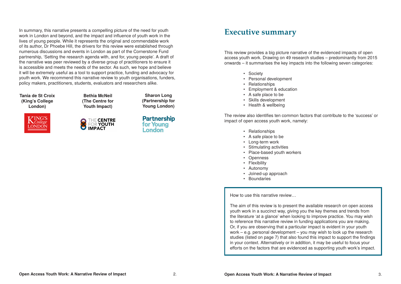### **Executive summary**

This review provides a big picture narrative of the evidenced impacts of open access youth work. Drawing on 49 research studies – predominantly from 2015 onwards – it summarises the key impacts into the following seven categories:

- Society
- Personal development
- Relationships
- Employment & education
- A safe place to be
- Skills development
- Health & wellbeing

The review also identifies ten common factors that contribute to the 'success' or impact of open access youth work, namely:

- Relationships
- A safe place to be
- Long-term work
- Stimulating activities
- Place-based youth workers
- Openness
- Flexibility
- Autonomy
- Joined-up approach
- Boundaries

How to use this narrative review…

The aim of this review is to present the available research on open access youth work in a succinct way, giving you the key themes and trends from the literature 'at a glance' when looking to improve practice. You may wish to reference this narrative review in funding applications you are making. Or, if you are observing that a particular impact is evident in your youth work – e.g. personal development – you may wish to look up the research studies (listed on page 7) that also found this impact to support the findings in your context. Alternatively or in addition, it may be useful to focus your efforts on the factors that are evidenced as supporting youth work's impact.

In summary, this narrative presents a compelling picture of the need for youth work in London and beyond, and the impact and influence of youth work in the lives of young people. While it represents the original and commendable work of its author, Dr Phoebe Hill, the drivers for this review were established through numerous discussions and events in London as part of the Cornerstone Fund partnership, 'Setting the research agenda with, and for, young people'. A draft of the narrative was peer reviewed by a diverse group of practitioners to ensure it is accessible and meets the needs of the sector. As such, we hope and believe it will be extremely useful as a tool to support practice, funding and advocacy for youth work. We recommend this narrative review to youth organisations, funders, policy makers, practitioners, students, evaluators and researchers alike.

> **Bethia McNeil (The Centre for Youth Impact)**



**Tania de St Croix (King's College London)**



**Sharon Long (Partnership for Young London)**

**Partnership** for Young **London**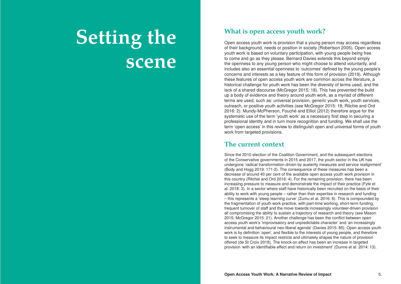### **What is open access youth work?**

Open access youth work is provision that a young person may access regardless of their background, needs or position in society (Robertson 2005). Open access youth work is based on voluntary participation, with young people being free to come and go as they please. Bernard Davies extends this beyond simply the openness to any young person who might choose to attend voluntarily, and includes also an essential openness to 'outcomes' defined by the young people's concerns and interests as a key feature of this form of provision (2019). Although these features of open access youth work are common across the literature, a historical challenge for youth work has been the diversity of terms used, and the lack of a shared discourse (McGregor 2015: 18). This has prevented the build up a body of evidence and theory around youth work, as a myriad of different terms are used, such as: universal provision, generic youth work, youth services, outreach, or positive youth activities (see McGregor 2015: 18; Ritchie and Ord 2016: 2). Mundy-McPherson, Fouché and Elliot (2012) therefore argue for the systematic use of the term 'youth work' as a necessary first step in securing a professional identity and in turn more recognition and funding. We shall use the term 'open access' in this review to distinguish open and universal forms of youth work from targeted provisions.

### **The current context**

Since the 2010 election of the Coalition Government, and the subsequent elections of the Conservative governments in 2015 and 2017, the youth sector in the UK has undergone 'radical transformation driven by austerity measures and service realignment' (Body and Hogg 2019: 171-2). The consequence of these measures has been a decrease of around 40 per cent of the available open access youth work provision in this country (Ritchie and Ord 2016: 4). For the remaining provision, there has been increasing pressure to measure and demonstrate the impact of their practice (Fyfe et al. 2018: 3). In a sector where staff have historically been recruited on the basis of their ability to work with young people – rather than their expertise in research and funding – this represents a 'steep learning curve' (Zumu et al. 2016: 8). This is compounded by the fragmentation of youth work practice, with part-time working, short-term funding, frequent turnover of staff and the move towards increasingly volunteer-driven provision all compromising the ability to sustain a trajectory of research and theory (see Mason 2015; McGregor 2015: 21). Another challenge has been the conflict between open access youth work's 'improvisatory and unpredictable character' and 'an increasingly instrumental and behavioural neo-liberal agenda' (Davies 2015: 85). Open access youth work is by definition 'open', and flexible to the interests of young people, and therefore to seek to measure its impact restricts and ultimately shapes the nature of provision offered (de St Croix 2018). The knock-on effect has been an increase in targeted provision 'with an identifiable effect and return on investment' (Dunne et al. 2014: 13).

# **Setting the scene**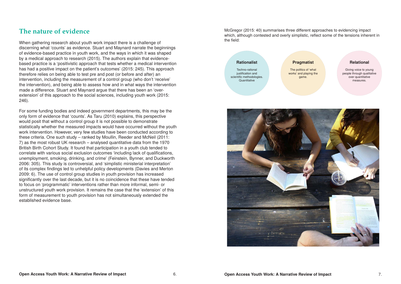Techno-rational justification and scientific methodologies. **Quantitative** 



McGregor (2015: 40) summarises three different approaches to evidencing impact which, although contested and overly simplistic, reflect some of the tensions inherent in the field:

#### **Rationalist**

#### **Pragmatist**

The politics of 'what works' and playing the game.

#### **Relational**

Giving voice to young people through qualitative over quantitative measures.

### **The nature of evidence**

When gathering research about youth work impact there is a challenge of discerning what 'counts' as evidence. Stuart and Maynard narrate the beginnings of evidence-based practice in youth work, and the ways in which it was shaped by a medical approach to research (2015). The authors explain that evidencebased practice is a 'positivistic approach that tests whether a medical intervention has had a positive impact on the patient's outcomes' (2015: 245). This approach therefore relies on being able to test pre and post (or before and after) an intervention, including the measurement of a control group (who don't 'receive' the intervention), and being able to assess how and in what ways the intervention made a difference. Stuart and Maynard argue that there has been an 'overextension' of this approach to the social sciences, including youth work (2015: 246).

For some funding bodies and indeed government departments, this may be the only form of evidence that 'counts'. As Taru (2010) explains, this perspective would posit that without a control group it is not possible to demonstrate statistically whether the measured impacts would have occurred without the youth work intervention. However, very few studies have been conducted according to these criteria. One such study – ranked by Moullin, Reeder and McNeil (2011: 7) as the most robust UK research – analysed quantitative data from the 1970 British Birth Cohort Study. It found that participation in a youth club tended to correlate with various social exclusion outcomes 'including lack of qualifications, unemployment, smoking, drinking, and crime' (Feinstein, Bynner, and Duckworth 2006: 305). This study is controversial, and 'simplistic ministerial interpretation' of its complex findings led to unhelpful policy developments (Davies and Merton 2009: 6). The use of control group studies in youth provision has increased significantly over the last decade, but it is no coincidence that these have tended to focus on 'programmatic' interventions rather than more informal, semi- or unstructured youth work provision. It remains the case that the 'extension' of this form of measurement to youth provision has not simultaneously extended the established evidence base.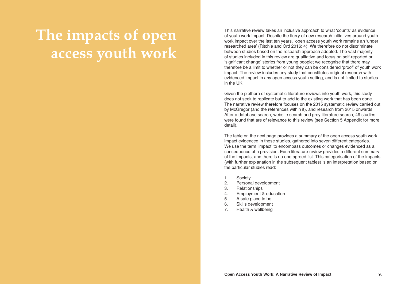This narrative review takes an inclusive approach to what 'counts' as evidence of youth work impact. Despite the flurry of new research initiatives around youth work impact over the last ten years, open access youth work remains an 'under researched area' (Ritchie and Ord 2016: 4). We therefore do not discriminate between studies based on the research approach adopted. The vast majority of studies included in this review are qualitative and focus on self-reported or 'significant change' stories from young people; we recognise that there may therefore be a limit to whether or not they can be considered 'proof' of youth work impact. The review includes any study that constitutes original research with evidenced impact in any open access youth setting, and is not limited to studies in the UK.

Given the plethora of systematic literature reviews into youth work, this study does not seek to replicate but to add to the existing work that has been done. The narrative review therefore focuses on the 2015 systematic review carried out by McGregor (and the references within it), and research from 2015 onwards. After a database search, website search and grey literature search, 49 studies were found that are of relevance to this review (see Section 5 Appendix for more detail).

The table on the next page provides a summary of the open access youth work impact evidenced in these studies, gathered into seven different categories. We use the term 'impact' to encompass outcomes or changes evidenced as a consequence of a provision. Each literature review provides a different summary of the impacts, and there is no one agreed list. This categorisation of the impacts (with further explanation in the subsequent tables) is an interpretation based on the particular studies read:

- 1. Society
- 2. Personal development
- 3. Relationships
- 4. Employment & education
- 5. A safe place to be
- 6. Skills development
- 7. Health & wellbeing

# **The impacts of open access youth work**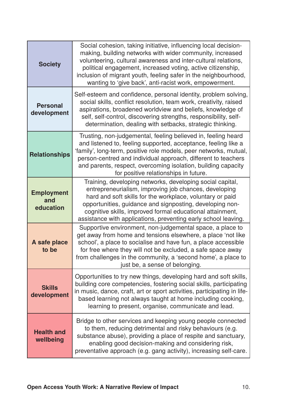| <b>Society</b>                        | Social cohesion, taking initiative, influencing local decision-<br>making, building networks with wider community, increased<br>volunteering, cultural awareness and inter-cultural relations,<br>political engagement, increased voting, active citizenship,<br>inclusion of migrant youth, feeling safer in the neighbourhood,<br>wanting to 'give back', anti-racist work, empowerment. |
|---------------------------------------|--------------------------------------------------------------------------------------------------------------------------------------------------------------------------------------------------------------------------------------------------------------------------------------------------------------------------------------------------------------------------------------------|
| <b>Personal</b><br>development        | Self-esteem and confidence, personal identity, problem solving,<br>social skills, conflict resolution, team work, creativity, raised<br>aspirations, broadened worldview and beliefs, knowledge of<br>self, self-control, discovering strengths, responsibility, self-<br>determination, dealing with setbacks, strategic thinking.                                                        |
| <b>Relationships</b>                  | Trusting, non-judgemental, feeling believed in, feeling heard<br>and listened to, feeling supported, acceptance, feeling like a<br>'family', long-term, positive role models, peer networks, mutual,<br>person-centred and individual approach, different to teachers<br>and parents, respect, overcoming isolation, building capacity<br>for positive relationships in future.            |
| <b>Employment</b><br>and<br>education | Training, developing networks, developing social capital,<br>entrepreneurialism, improving job chances, developing<br>hard and soft skills for the workplace, voluntary or paid<br>opportunities, guidance and signposting, developing non-<br>cognitive skills, improved formal educational attainment,<br>assistance with applications, preventing early school leaving.                 |
| A safe place<br>to be                 | Supportive environment, non-judgemental space, a place to<br>get away from home and tensions elsewhere, a place 'not like<br>school', a place to socialise and have fun, a place accessible<br>for free where they will not be excluded, a safe space away<br>from challenges in the community, a 'second home', a place to<br>just be, a sense of belonging.                              |
| <b>Skills</b><br>development          | Opportunities to try new things, developing hard and soft skills,<br>building core competencies, fostering social skills, participating<br>in music, dance, craft, art or sport activities, participating in life-<br>based learning not always taught at home including cooking,<br>learning to present, organise, communicate and lead.                                                  |
| <b>Health and</b><br>wellbeing        | Bridge to other services and keeping young people connected<br>to them, reducing detrimental and risky behaviours (e.g.<br>substance abuse), providing a place of respite and sanctuary,<br>enabling good decision-making and considering risk,<br>preventative approach (e.g. gang activity), increasing self-care.                                                                       |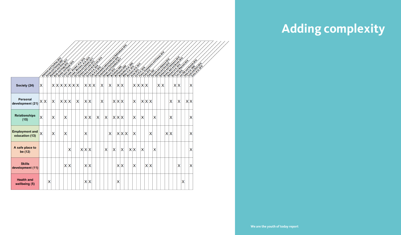|                                         |   |    | <b>Assembly and provided 2010</b><br><b>Richard Richard Richard Richard Richard Richard Richard Richard Richard Richard Richard Richard Richard Richard</b> |   |  |       |     | <b>Propriet of the Propriet Property and Property</b> |   | Code: it is a final discrimination<br>Code: Broadway |   |       | <b>CONTRACTOR DESCRIPTION AND DESCRIPTION</b> |   |   |   |       |   |     |  |     | A little to the control of the control of the control of the control of the control of the control of the control of the control of the control of the control of the control of the control of the control of the control of |   |     |   |   |  |   |   |   |   |                                                                                                                                                                                                                                      |     | <b>CONTRACTOR DESIGNATION</b><br><b>Auditor Riverside</b><br>Lumine of British |  |
|-----------------------------------------|---|----|-------------------------------------------------------------------------------------------------------------------------------------------------------------|---|--|-------|-----|-------------------------------------------------------|---|------------------------------------------------------|---|-------|-----------------------------------------------|---|---|---|-------|---|-----|--|-----|-------------------------------------------------------------------------------------------------------------------------------------------------------------------------------------------------------------------------------|---|-----|---|---|--|---|---|---|---|--------------------------------------------------------------------------------------------------------------------------------------------------------------------------------------------------------------------------------------|-----|--------------------------------------------------------------------------------|--|
| Society (24)                            | X |    |                                                                                                                                                             |   |  |       |     | X X X X X X X                                         |   |                                                      |   | X X X |                                               | X |   | X |       |   | X X |  |     |                                                                                                                                                                                                                               |   |     |   |   |  |   |   |   |   | <b>Processing Contract of the Contract of the Contract of the Contract of the Contract of the Contract of the Contract of the Contract of the Contract of the Contract of the Contract of the Contract of the Contract of the Co</b> |     |                                                                                |  |
| <b>Personal</b><br>development (21)     |   | XX |                                                                                                                                                             | X |  | X X X |     |                                                       | X |                                                      |   | X X   |                                               | X |   |   | X X X |   |     |  | X   |                                                                                                                                                                                                                               |   | X X |   |   |  |   | X | X |   |                                                                                                                                                                                                                                      | X X |                                                                                |  |
| <b>Relationships</b><br>(15)            | X |    |                                                                                                                                                             | Х |  | Χ     |     |                                                       |   |                                                      |   | X X   | X                                             |   | X |   | X X   |   |     |  | X   |                                                                                                                                                                                                                               | X |     |   | Х |  |   | Х |   |   |                                                                                                                                                                                                                                      | Х   |                                                                                |  |
| <b>Employment and</b><br>education (13) | Χ |    |                                                                                                                                                             | Х |  | Χ     |     |                                                       |   |                                                      | Х |       |                                               |   |   | X |       |   | X X |  | X   |                                                                                                                                                                                                                               |   |     | Χ |   |  | X | X |   |   |                                                                                                                                                                                                                                      | X   |                                                                                |  |
| A safe place to<br>be (12)              |   |    |                                                                                                                                                             |   |  |       | Х   |                                                       |   |                                                      |   | X X X |                                               |   | Χ |   | X     |   | X   |  | X X |                                                                                                                                                                                                                               | X |     |   | X |  |   |   |   |   |                                                                                                                                                                                                                                      | X   |                                                                                |  |
| <b>Skills</b><br>development (11)       |   |    |                                                                                                                                                             |   |  |       | X X |                                                       |   |                                                      |   | X X   |                                               |   |   |   |       |   | X X |  | X   |                                                                                                                                                                                                                               |   | X X |   |   |  |   |   | X |   |                                                                                                                                                                                                                                      | X   |                                                                                |  |
| <b>Health and</b><br>wellbeing (5)      |   |    | Χ                                                                                                                                                           |   |  |       |     |                                                       |   |                                                      |   | X X   |                                               |   |   |   |       | X |     |  |     |                                                                                                                                                                                                                               |   |     |   |   |  |   |   |   | X |                                                                                                                                                                                                                                      |     |                                                                                |  |

# **Adding complexity**

**We are the youth of today report**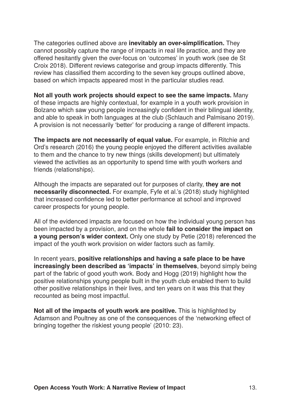The categories outlined above are **inevitably an over-simplification.** They cannot possibly capture the range of impacts in real life practice, and they are offered hesitantly given the over-focus on 'outcomes' in youth work (see de St Croix 2018). Different reviews categorise and group impacts differently. This review has classified them according to the seven key groups outlined above, based on which impacts appeared most in the particular studies read.

**Not all youth work projects should expect to see the same impacts.** Many of these impacts are highly contextual, for example in a youth work provision in Bolzano which saw young people increasingly confident in their bilingual identity, and able to speak in both languages at the club (Schlauch and Palmisano 2019). A provision is not necessarily 'better' for producing a range of different impacts.

**The impacts are not necessarily of equal value.** For example, in Ritchie and Ord's research (2016) the young people enjoyed the different activities available to them and the chance to try new things (skills development) but ultimately viewed the activities as an opportunity to spend time with youth workers and friends (relationships).

Although the impacts are separated out for purposes of clarity, **they are not necessarily disconnected.** For example, Fyfe et al.'s (2018) study highlighted that increased confidence led to better performance at school and improved career prospects for young people.

All of the evidenced impacts are focused on how the individual young person has been impacted by a provision, and on the whole **fail to consider the impact on a young person's wider context.** Only one study by Petie (2018) referenced the impact of the youth work provision on wider factors such as family.

In recent years, **positive relationships and having a safe place to be have increasingly been described as 'impacts' in themselves**, beyond simply being part of the fabric of good youth work. Body and Hogg (2019) highlight how the positive relationships young people built in the youth club enabled them to build other positive relationships in their lives, and ten years on it was this that they recounted as being most impactful.

**Not all of the impacts of youth work are positive.** This is highlighted by Adamson and Poultney as one of the consequences of the 'networking effect of bringing together the riskiest young people' (2010: 23).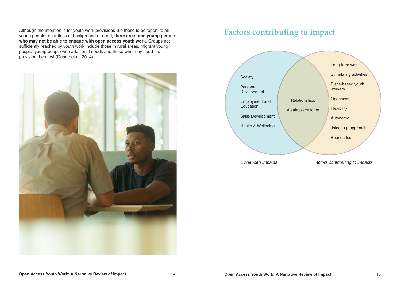### **Factors contributing to impact**



*Evidenced Impacts Factors contributing to impacts*

Although the intention is for youth work provisions like these to be 'open' to all young people regardless of background or need, **there are some young people who may not be able to engage with open access youth work**. Groups not sufficiently reached by youth work include those in rural areas, migrant young people, young people with additional needs and those who may need the provision the most (Dunne et al. 2014).

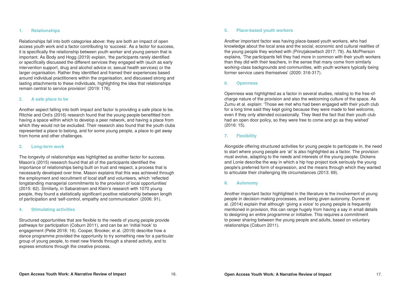### **5. Place-based youth workers**

Another important factor was having place-based youth workers, who had knowledge about the local area and the social, economic and cultural realities of the young people they worked with (Prinzjakowitsch 2017: 79). As McPherson explains, 'The participants felt they had more in common with their youth workers than they did with their teachers, in the sense that many come from similarly working-class backgrounds and communities, with youth workers typically being former service users themselves' (2020: 316-317).

### **6. Openness**

Openness was highlighted as a factor in several studies, relating to the free-ofcharge nature of the provision and also the welcoming culture of the space. As Zumu et al. explain: 'Those we met who had been engaged with their youth club for a long time said they kept going because they were made to feel welcome, even if they only attended occasionally. They liked the fact that their youth club had an open door policy, so they were free to come and go as they wished' (2016: 15).

### **7. Flexibility**

Alongside offering structured activities for young people to participate in, the need to start where young people are 'at' is also highlighted as a factor. The provision must evolve, adapting to the needs and interests of the young people. Dickens and Lonie describe the way in which a hip hop project took seriously the young people's preferred form of expression, and the means through which they wanted to articulate their challenging life circumstances (2013: 69).

### **8. Autonomy**

Another important factor highlighted in the literature is the involvement of young people in decision-making processes, and being given autonomy. Dunne et al. (2014) explain that although 'giving a voice' to young people is frequently mentioned in provision, this can range hugely from having a say in small details to designing an entire programme or initiative. This requires a commitment to power sharing between the young people and adults, based on voluntary relationships (Coburn 2011).

### **1. Relationships**

Relationships fall into both categories above: they are both an impact of open access youth work and a factor contributing to 'success'. As a factor for success, it is specifically the relationship between youth worker and young person that is important. As Body and Hogg (2019) explain, 'the participants rarely identified or specifically discussed the different services they engaged with (such as early intervention support, drug and alcohol advice or, sexual health services) or the larger organisation. Rather they identified and framed their experiences based around individual practitioners within the organisation, and discussed strong and lasting attachments to these individuals, highlighting the idea that relationships remain central to service provision' (2019: 176).

#### **2. A safe place to be**

Another aspect falling into both impact and factor is providing a safe place to be. Ritchie and Ord's (2016) research found that the young people benefitted from having a space within which to develop a peer network, and having a place from which they would not be excluded. Their research also found that the youth clubs represented a place to belong, and for some young people, a place to get away from home and other challenges.

#### **3. Long-term work**

The longevity of relationships was highlighted as another factor for success. Mason's (2015) research found that all of the participants identified the importance of relationships being built on trust and respect, a process that is necessarily developed over time. Mason explains that this was achieved through the employment and recruitment of local staff and volunteers, which 'reflected longstanding managerial commitments to the provision of local opportunities' (2015: 62). Similarly, in Sabaratnam and Klein's research with 1070 young people, they found a statistically significant positive relationship between length of participation and 'self-control, empathy and communication' (2006: 91).

### **4. Stimulating activities**

Structured opportunities that are flexible to the needs of young people provide pathways for participation (Coburn 2011), and can be an 'initial hook' to engagement (Petie 2018: 16). Cooper, Brooker, et al. (2019) describe how a dance programme provided the opportunity to try something new for a particular group of young people, to meet new friends through a shared activity, and to express emotions through the creative process.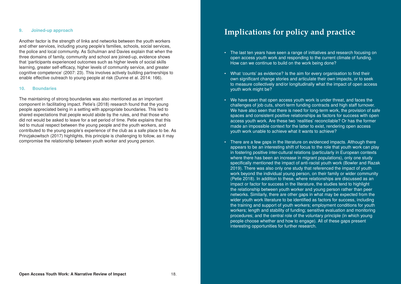## **Implications for policy and practice**

to measure collectively and/or longitudinally what the impact of open access

We have also seen that there is need for long-term work, the provision of safe spaces and consistent positive relationships as factors for success with open access youth work. Are these two 'realities' reconcilable? Or has the former

- The last ten years have seen a range of initiatives and research focusing on open access youth work and responding to the current climate of funding. How can we continue to build on the work being done?
- What 'counts' as evidence? Is the aim for every organisation to find their own significant change stories and articulate their own impacts, or to seek youth work might be?
- We have seen that open access youth work is under threat, and faces the challenges of job cuts, short-term funding contracts and high staff turnover. made an impossible context for the latter to exist, rendering open access youth work unable to achieve what it wants to achieve?
- There are a few gaps in the literature on evidenced impacts. Although there where there has been an increase in migrant populations), only one study 2019). There was also only one study that referenced the impact of youth (Petie 2018). In addition to these, where relationships are discussed as an impact or factor for success in the literature, the studies tend to highlight the relationship between youth worker and young person rather than peer networks. Similarly, there are other gaps in what may be expected from the wider youth work literature to be identified as factors for success, including the training and support of youth workers; employment conditions for youth workers; length and stability of funding; sensitive evaluation and monitoring procedures; and the central role of the voluntary principle (in which young people choose whether and how to engage). All of these gaps present interesting opportunities for further research.

appears to be an interesting shift of focus to the role that youth work can play in fostering positive inter-cultural relations (particularly in European contexts specifically mentioned the impact of anti-racist youth work (Bowler and Razak work beyond the individual young person, on their family or wider community

### **9. Joined-up approach**

Another factor is the strength of links and networks between the youth workers and other services, including young people's families, schools, social services, the police and local community. As Schulman and Davies explain that when the three domains of family, community and school are joined-up, evidence shows that 'participants experienced outcomes such as higher levels of social skills learning, greater self-efficacy, higher levels of community service, and greater cognitive competence' (2007: 23). This involves actively building partnerships to enable effective outreach to young people at risk (Dunne et al. 2014: 166).

#### **10. Boundaries**

The maintaining of strong boundaries was also mentioned as an important component in facilitating impact. Petie's (2018) research found that the young people appreciated being in a setting with appropriate boundaries. This led to shared expectations that people would abide by the rules, and that those who did not would be asked to leave for a set period of time. Petie explains that this led to mutual respect between the young people and the youth workers, and contributed to the young people's experience of the club as a safe place to be. As Prinzjakowitsch (2017) highlights, this principle is challenging to follow, as it may compromise the relationship between youth worker and young person.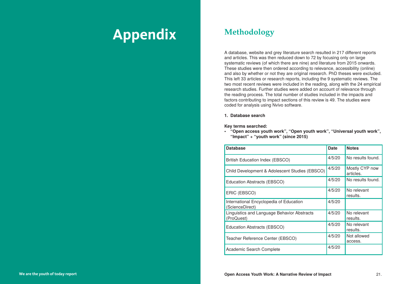## **Methodology**

A database, website and grey literature search resulted in 217 different reports and articles. This was then reduced down to 72 by focusing only on large systematic reviews (of which there are nine) and literature from 2015 onwards. These studies were then ordered according to relevance, accessibility (online) and also by whether or not they are original research. PhD theses were excluded. This left 33 articles or research reports, including the 9 systematic reviews. The two most recent reviews were included in the reading, along with the 24 empirical research studies. Further studies were added on account of relevance through the reading process. The total number of studies included in the impacts and factors contributing to impact sections of this review is 49. The studies were coded for analysis using Nvivo software.

| <b>Database</b>                                            | <b>Date</b> | <b>Notes</b>                |
|------------------------------------------------------------|-------------|-----------------------------|
| <b>British Education Index (EBSCO)</b>                     | 4/5/20      | No results found.           |
| Child Development & Adolescent Studies (EBSCO)             | 4/5/20      | Mostly CYP now<br>articles. |
| Education Abstracts (EBSCO)                                | 4/5/20      | No results found.           |
| ERIC (EBSCO)                                               | 4/5/20      | No relevant<br>results.     |
| International Encyclopedia of Education<br>(ScienceDirect) | 4/5/20      |                             |
| Linguistics and Language Behavior Abstracts<br>(ProQuest)  | 4/5/20      | No relevant<br>results.     |
| Education Abstracts (EBSCO)                                | 4/5/20      | No relevant<br>results.     |
| Teacher Reference Center (EBSCO)                           | 4/5/20      | Not allowed<br>access.      |
| Academic Search Complete                                   | 4/5/20      |                             |
|                                                            |             |                             |

**1. Database search**

**Key terms searched:**

**• "Open access youth work", "Open youth work", "Universal youth work", "Impact" + "youth work" (since 2015)**

| <b>Database</b>                                            | <b>Date</b> | <b>Notes</b>                |
|------------------------------------------------------------|-------------|-----------------------------|
| <b>British Education Index (EBSCO)</b>                     | 4/5/20      | No results found.           |
| Child Development & Adolescent Studies (EBSCO)             | 4/5/20      | Mostly CYP now<br>articles. |
| <b>Education Abstracts (EBSCO)</b>                         | 4/5/20      | No results found.           |
| ERIC (EBSCO)                                               | 4/5/20      | No relevant<br>results.     |
| International Encyclopedia of Education<br>(ScienceDirect) | 4/5/20      |                             |
| Linguistics and Language Behavior Abstracts<br>(ProQuest)  | 4/5/20      | No relevant<br>results.     |
| Education Abstracts (EBSCO)                                | 4/5/20      | No relevant<br>results.     |
| Teacher Reference Center (EBSCO)                           | 4/5/20      | Not allowed<br>access.      |
| <b>Academic Search Complete</b>                            | 4/5/20      |                             |

## **Appendix**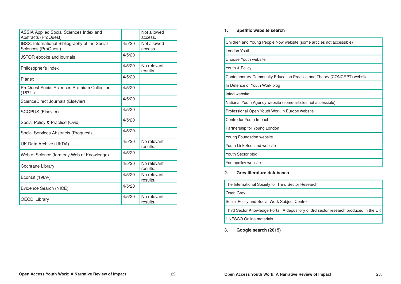| ome articles not accessible)    |
|---------------------------------|
|                                 |
|                                 |
|                                 |
| ce and Theory (CONCEPT) website |
|                                 |
|                                 |
| es not accessible)              |
| ebsite                          |
|                                 |
|                                 |
|                                 |
|                                 |
|                                 |
|                                 |
|                                 |

| 1. | <b>Spefific website search</b> |
|----|--------------------------------|
|----|--------------------------------|

Research Third Sector Knowledge Portal: A depository of 3rd sector research produced in the UK

| Children and Young People Now website (some articles not accessible)           |
|--------------------------------------------------------------------------------|
| London Youth                                                                   |
| Choose Youth website                                                           |
| Youth & Policy                                                                 |
| Contemporary Community Education Practice and Theory (CONCEPT) website         |
| In Defence of Youth Work blog                                                  |
| Infed website                                                                  |
| National Youth Agency website (some articles not accessible)                   |
| Professional Open Youth Work in Europe website                                 |
| Centre for Youth Impact                                                        |
| Partnership for Young London                                                   |
| <b>Young Foundation website</b>                                                |
| <b>Youth Link Scotland website</b>                                             |
| Youth Sector blog                                                              |
| Youthpolicy website                                                            |
| <b>Grey literature databases</b><br>2.                                         |
| The International Society for Third Sector Research                            |
| Open Grey                                                                      |
| Social Policy and Social Work Subject Centre                                   |
| Third Sector Knowledge Portal: A depository of 3rd sector research produced in |
| <b>UNESCO Online materials</b>                                                 |
|                                                                                |

**3. Google search (2015)**

| <b>ASSIA Applied Social Sciences Index and</b><br><b>Abstracts (ProQuest)</b> |        | Not allowed<br>access.  |
|-------------------------------------------------------------------------------|--------|-------------------------|
| IBSS: International Bibliography of the Social<br><b>Sciences (ProQuest)</b>  | 4/5/20 | Not allowed<br>access.  |
| JSTOR ebooks and journals                                                     | 4/5/20 |                         |
| Philosopher's Index                                                           | 4/5/20 | No relevant<br>results. |
| <b>Planex</b>                                                                 | 4/5/20 |                         |
| <b>ProQuest Social Sciences Premium Collection</b><br>$(1871 - )$             | 4/5/20 |                         |
| ScienceDirect Journals (Elsevier)                                             | 4/5/20 |                         |
| <b>SCOPUS (Elsevier)</b>                                                      | 4/5/20 |                         |
| Social Policy & Practice (Ovid)                                               | 4/5/20 |                         |
| Social Services Abstracts (Proquest)                                          | 4/5/20 |                         |
| UK Data Archive (UKDA)                                                        | 4/5/20 | No relevant<br>results. |
| Web of Science (formerly Web of Knowledge)                                    | 4/5/20 |                         |
| Cochrane Library                                                              | 4/5/20 | No relevant<br>results. |
| EconLit (1969-)                                                               | 4/5/20 | No relevant<br>results. |
| Evidence Search (NICE)                                                        | 4/5/20 |                         |
| <b>OECD iLibrary</b>                                                          | 4/5/20 | No relevant<br>results. |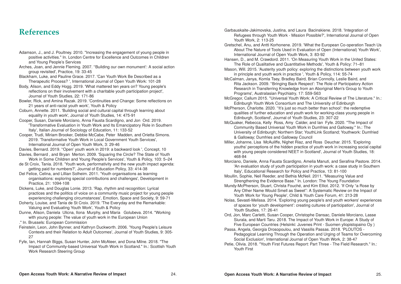Garbauskaite-Jakimovska, Justina, and Laura Bacinskiene. 2018. 'Integration of Refugees through Youth Work - Mission Possible?', International Journal of Open Youth Work, 2: 113-25 Gretschel, Anu, and Antti Korhonene. 2019. 'What the European Co-operation Teach Us About The Nature of Tools Used in Evaluation of Open (International) Youth Work', International Journal of Open Youth Work, 3: 83-92 Hansen, D., and M. Crawdord. 2011. 'On Measuring Youth Work in the United States: The Role of Qualitative and Quantitative Methods', Youth & Policy: 71–81 Mason, Will. 2015. 'Austerity youth policy: exploring the distinctions between youth work in principle and youth work in practice ', Youth & Policy, 114: 55-74 McCalman, Janya, Komla Tsey, Bradley Baird, Brian Connolly, Leslie Baird, and Rita Jackson. 2009. ''Bringing Back Respect': The Role of Participatory Action Research in Transferring Knowledge from an Aboriginal Men's Group to Youth Programs', Australasian Psychiatry, 17: S59-S63 McGregor, Callum 2015. "Universal Youth Work: A Critical Review of The Literature." In.: Edinburgh Youth Work Consortium and The University of Edinburgh McPherson, Charlotte. 2020. ''It's just so much better than school': the redemptive qualities of further education and youth work for working-class young people in Edinburgh, Scotland', Journal of Youth Studies, 23: 307-22 McQuaker, Rebecca, Kelly Ross, Amy Calder, and Ian Fyfe. 2020. "The Impact of Community Based Universal Youth Work in Dumfries and Galloway." In.: The University of Edinburgh; Northern Star; YouthLink Scotland; Youthwork: Dumfried & Galloway; Dumfries and Galloway Council Miller, Johanne, Lisa McAuliffe, Nighet Riaz, and Ross Deuchar. 2015. 'Exploring youths' perceptions of the hidden practice of youth work in increasing social capital with young people considered NEET in Scotland', Journal of Youth Studies, 18: 468-84 Morciano, Daniele, Anna Fausta Scardigno, Amelia Manuti, and Serafina Pastore. 2014. 'An evaluation study of youth participation in youth work: a case study in Southern Italy', Educational Research for Policy and Practice, 13: 81-100 Moullin, Sophie, Neil Reeder, and Bethia McNeil. 2011. "Measuring Value and Strengthening the Evidence Base." In. London: The Young Foundation Mundy-McPherson, Stuart, Christa Fouché, and Kim Elliot. 2012. 'If Only "a Rose by Any Other Name Would Smell as Sweet": A Systematic Review on the Impact of Youth Work for Young People', Child & Youth Care Forum, 41: 213-28 Nolas, Sevasti-Melissa. 2014. 'Exploring young people's and youth workers' experiences of spaces for 'youth development': creating cultures of participation', Journal of Youth Studies, 17: 26-41 Ord, Jon, Marc Carletti, Susan Cooper, Christophe Dansac, Daniele Morciano, Lasse Siurala, and Marti Taru. 2018. The Impact of Youth Work in Europe: A Study of Five European Countries (Helsinki: Juvenes Print - Suomen yliopistopaino Oy ) Passa, Angela, Georgia Drosopoulou, and Vassilis Passas. 2018. 'PLOUTOS - Pedagogical Learning Through the Operation and Urging of Teams for Overcoming Social Exclusion', International Journal of Open Youth Work, 2: 38-47 Petie, Olivia. 2018. "Youth First Futures Report: Part Three - The Field Research." In.:

Youth First

### **References**

- Adamson, J., and J. Poultney. 2010. "Increasing the engagement of young people in positive activities." In. London Centre for Excellence and Outcomes in Children and Young People's Services
- Arches, Joan, and Jennie Fleming. 2007. ''Building our own monument': A social action group revisited', Practice, 19: 33-45
- Blackham, Luke, and Pauline Grace. 2017. 'Can Youth Work Be Described as a Therapeutic Process? ', International Journal of Open Youth Work: 101-28
- Body, Alison, and Eddy Hogg. 2019. 'What mattered ten years on? Young people's reflections on their involvement with a charitable youth participation project', Journal of Youth Studies, 22: 171-86
- Bowler, Rick, and Amina Razak. 2019. 'Continuities and Change: Some reflections on 21 years of anti-racist youth work', Youth & Policy
- Coburn, Annette. 2011. 'Building social and cultural capital through learning about equality in youth work', Journal of Youth Studies, 14: 475-91
- Cooper, Susan, Daniele Morciano, Anna Fausta Scardigno, and Jon Ord. 2019. 'Transformative Evaluation in Youth Work and Its Emancipatory Role in Southern Italy', Italian Journal of Sociology of Education, 11: 133-52
- Cooper, Trudi, Miriam Brooker, Debbie McCabe, Peter Madden, and Orietta Simons. 2019. 'Transformative Youth Work in Local Government Youth Services', International Journal of Open Youth Work, 3: 29-46
- Davies, Bernard. 2019. ''Open' youth work in 2019: a backward look ', Concept, 10
- Davies, Bernard , and Bryan Merton. 2009. 'Squaring the Circle? The State of Youth Work in Some Children and Young People's Services', Youth & Policy, 103: 5–24
- de St Croix, Tania. 2018. 'Youth work, performativity and the new youth impact agenda: getting paid for numbers?', Journal of Education Policy, 33: 414-38
- Del Felice, Celina, and Lillian Solheim. 2011. 'Youth organisations as learning organisations: exploring special contributions and challenges', Development in Practice, 21: 1094-108
- Dickens, Luke, and Douglas Lonie. 2013. 'Rap, rhythm and recognition: Lyrical practices and the politics of voice on a community music project for young people experiencing challenging circumstances', Emotion, Space and Society, 9: 59-71
- Doherty, Louise, and Tania de St Croix. 2019. 'The Everyday and the Remarkable: Valuing and Evaluating Youth Work', Youth & Policy
- Dunne, Alison, Daniela Ulicna, Ilona Murphy, and Maria Golubeva. 2014. "Working with young people: The value of youth work in the European Union
- ." In. Brussels: European Commission
- Feinstein, Leon, John Bynner, and Kathryn Duckworth. 2006. 'Young People's Leisure Contexts and their Relation to Adult Outcomes', Journal of Youth Studies, 9: 305- 27
- Fyfe, Ian, Hannah Biggs, Susan Hunter, John McAteer, and Dona Milne. 2018. "The Impact of Community-based Universal Youth Work in Scotland." In.: Scottish Youth Work Research Steering Group